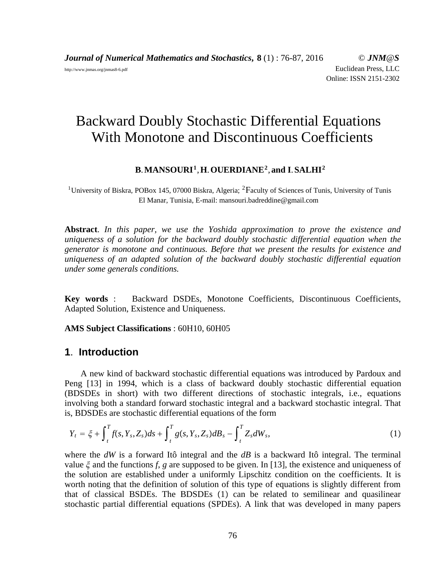*Journal of Numerical Mathematics and Stochastics***, 8** (1) : 76-87, 2016 © *JNM@S* http://www.jnmas.org/jnmas8-6.pdf Euclidean Press, LLC Online: ISSN 2151-2302

# Backward Doubly Stochastic Differential Equations With Monotone and Discontinuous Coefficients

#### **B**.**MANSOURI1**,**H**.**OUERDIANE2**,**and I**.**SALHI2**

<sup>1</sup>University of Biskra, POBox 145, 07000 Biskra, Algeria; <sup>2</sup>Faculty of Sciences of Tunis, University of Tunis El Manar, Tunisia, E-mail: mansouri.badreddine@gmail.com

**Abstract**. *In this paper, we use the Yoshida approximation to prove the existence and uniqueness of a solution for the backward doubly stochastic differential equation when the generator is monotone and continuous. Before that we present the results for existence and uniqueness of an adapted solution of the backward doubly stochastic differential equation under some generals conditions.*

**Key words** : Backward DSDEs, Monotone Coefficients, Discontinuous Coefficients, Adapted Solution, Existence and Uniqueness.

**AMS Subject Classifications** : 60H10, 60H05

### **1**. **Introduction**

A new kind of backward stochastic differential equations was introduced by Pardoux and Peng [13] in 1994, which is a class of backward doubly stochastic differential equation (BDSDEs in short) with two different directions of stochastic integrals, i.e., equations involving both a standard forward stochastic integral and a backward stochastic integral. That is, BDSDEs are stochastic differential equations of the form

$$
Y_t = \xi + \int_t^T f(s, Y_s, Z_s) ds + \int_t^T g(s, Y_s, Z_s) dB_s - \int_t^T Z_s dW_s,
$$
\n(1)

where the *dW* is a forward Itô integral and the *dB* is a backward Itô integral. The terminal value  $\xi$  and the functions f, g are supposed to be given. In [13], the existence and uniqueness of the solution are established under a uniformly Lipschitz condition on the coefficients. It is worth noting that the definition of solution of this type of equations is slightly different from that of classical BSDEs. The BDSDEs  $(1)$  can be related to semilinear and quasilinear stochastic partial differential equations (SPDEs). A link that was developed in many papers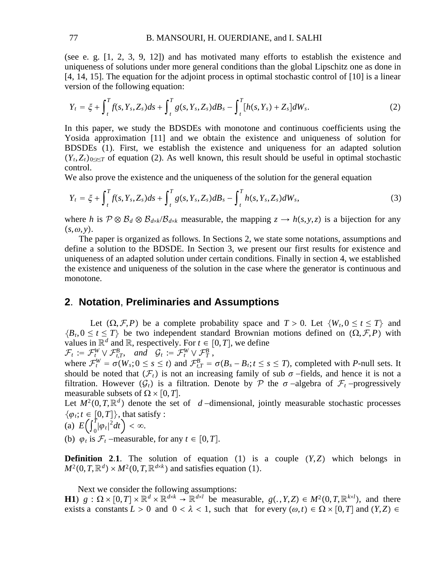(see e. g. [1, 2, 3, 9, 12]) and has motivated many efforts to establish the existence and uniqueness of solutions under more general conditions than the global Lipschitz one as done in [4, 14, 15]. The equation for the adjoint process in optimal stochastic control of [10] is a linear version of the following equation:

$$
Y_t = \xi + \int_t^T f(s, Y_s, Z_s) ds + \int_t^T g(s, Y_s, Z_s) dB_s - \int_t^T [h(s, Y_s) + Z_s] dW_s. \tag{2}
$$

In this paper, we study the BDSDEs with monotone and continuous coefficients using the Yosida approximation [11] and we obtain the existence and uniqueness of solution for BDSDEs (1). First, we establish the existence and uniqueness for an adapted solution  $(Y_t, Z_t)_{0 \le t \le T}$  of equation (2). As well known, this result should be useful in optimal stochastic control.

We also prove the existence and the uniqueness of the solution for the general equation

$$
Y_t = \xi + \int_t^T f(s, Y_s, Z_s) ds + \int_t^T g(s, Y_s, Z_s) dB_s - \int_t^T h(s, Y_s, Z_s) dW_s,
$$
\n(3)

where *h* is  $\mathcal{P} \otimes \mathcal{B}_d \otimes \mathcal{B}_{d \times k}/\mathcal{B}_{d \times k}$  measurable, the mapping  $z \to h(s, y, z)$  is a bijection for any  $(s, \omega, y)$ .

The paper is organized as follows. In Sections 2, we state some notations, assumptions and define a solution to the BDSDE. In Section 3, we present our first results for existence and uniqueness of an adapted solution under certain conditions. Finally in section 4, we established the existence and uniqueness of the solution in the case where the generator is continuous and monotone.

# **2**. **Notation**, **Preliminaries and Assumptions**

Let  $(\Omega, \mathcal{F}, P)$  be a complete probability space and  $T > 0$ . Let  $\{W_t, 0 \le t \le T\}$  and  $\{B_t, 0 \le t \le T\}$  be two independent standard Brownian motions defined on  $(\Omega, \mathcal{F}, P)$  with values in  $\mathbb{R}^d$  and  $\mathbb{R}$ , respectively. For  $t \in [0, T]$ , we define  $\mathcal{F}_t := \mathcal{F}_t^W \vee \mathcal{F}_{t,T}^B$ , and  $\mathcal{G}_t := \mathcal{F}_t^W \vee \mathcal{F}_T^B$ ,

where  $\mathcal{F}_t^W = \sigma(W_s; 0 \le s \le t)$  and  $\mathcal{F}_{t,T}^B = \sigma(B_s - B_t; t \le s \le T)$ , completed with *P*-null sets. It should be noted that  $(\mathcal{F}_t)$  is not an increasing family of sub  $\sigma$  -fields, and hence it is not a filtration. However  $(G_t)$  is a filtration. Denote by P the  $\sigma$ -algebra of  $\mathcal{F}_t$ -progressively measurable subsets of  $\Omega \times [0, T]$ .

Let  $M^2(0,T,\mathbb{R}^d)$  denote the set of *d* −dimensional, jointly measurable stochastic processes  $\{\varphi_t; t \in [0,T]\},$  that satisfy :

(a) 
$$
E\left(\int_0^T |\varphi_t|^2 dt\right) < \infty
$$
.

(b)  $\varphi_t$  is  $\mathcal{F}_t$  −measurable, for any  $t \in [0, T]$ .

**Definition 2.1.** The solution of equation (1) is a couple  $(Y, Z)$  which belongs in  $M^2(0,T,\mathbb{R}^d) \times M^2(0,T,\mathbb{R}^{d \times k})$  and satisfies equation (1).

Next we consider the following assumptions:

**H1**)  $g: \Omega \times [0,T] \times \mathbb{R}^d \times \mathbb{R}^{d \times k} \to \mathbb{R}^{d \times l}$  be measurable,  $g(., Y, Z) \in M^2(0,T, \mathbb{R}^{k \times l})$ , and there exists a constants  $L > 0$  and  $0 < \lambda < 1$ , such that for every  $(\omega, t) \in \Omega \times [0, T]$  and  $(Y, Z) \in$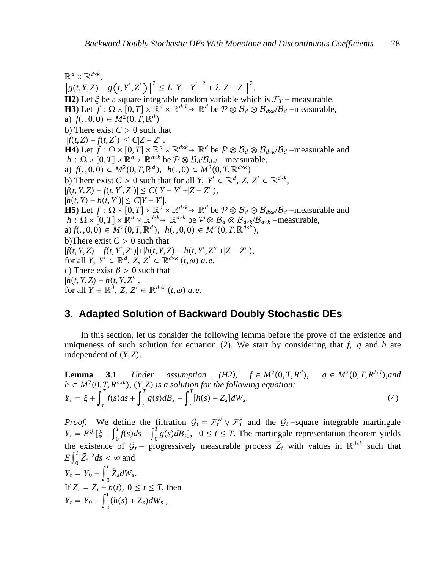$\mathbb{R}^d \times \mathbb{R}^{d \times k}$  $g(t, Y, Z) - g(t, Y', Z')\big|^{2} \leq L\big|Y - Y'\big|^{2} + \lambda\big|Z - Z'\big|^{2}.$ **H2**) Let  $\xi$  be a square integrable random variable which is  $\mathcal{F}_T$  – measurable. **H3**) Let *f* :  $\Omega \times [0, T] \times \mathbb{R}^d \times \mathbb{R}^{d \times k} \rightarrow \mathbb{R}^d$  be  $\mathcal{P} \otimes \mathcal{B}_d \otimes \mathcal{B}_{d \times k}/\mathcal{B}_d$  −measurable, a)  $f(.,0,0) \in M^2(0,T,\mathbb{R}^d)$ b) There exist  $C > 0$  such that  $|f(t,Z) - f(t,Z')| \leq C|Z - Z'|$ . **H4**) Let *f* :  $\Omega \times [0, T] \times \mathbb{R}^d \times \mathbb{R}^{d \times k} \rightarrow \mathbb{R}^d$  be  $\mathcal{P} \otimes \mathcal{B}_d \otimes \mathcal{B}_{d \times k}/\mathcal{B}_d$  −measurable and  $h: \Omega \times [0,T] \times \mathbb{R}^d \rightarrow \mathbb{R}^{d \times k}$  be  $\mathcal{P} \otimes \mathcal{B}_d/\mathcal{B}_{d \times k}$  –measurable, a)  $f(., 0, 0) \in M^2(0, T, \mathbb{R}^d)$ ,  $h(., 0) \in M^2(0, T, \mathbb{R}^{d \times k})$ b) There exist  $C > 0$  such that for all *Y*,  $Y' \in \mathbb{R}^d$ ,  $Z, Z' \in \mathbb{R}^{d \times k}$ ,  $|f(t, Y, Z) - f(t, Y', Z')| \leq C(|Y - Y'| + |Z - Z'|),$  $|h(t, Y) - h(t, Y')| \leq C|Y - Y'|.$ **H5**) Let *f* :  $\Omega \times [0, T] \times \mathbb{R}^d \times \mathbb{R}^{d \times k} \rightarrow \mathbb{R}^d$  be  $\mathcal{P} \otimes \mathcal{B}_d \otimes \mathcal{B}_{d \times k}/\mathcal{B}_d$  −measurable and  $h: \Omega \times [0,T] \times \mathbb{R}^d \times \mathbb{R}^{d \times k} \to \mathbb{R}^{d \times k}$  be  $\mathcal{P} \otimes \mathcal{B}_d \otimes \mathcal{B}_{d \times k}/\mathcal{B}_{d \times k}$  –measurable,  $a) f(.,0,0) \in M^2(0,T,\mathbb{R}^d), h(.,0,0) \in M^2(0,T,\mathbb{R}^{d \times k}),$ b)There exist  $C > 0$  such that |*ft*,*Y*,*Z* − *ft*,*Y*′ ,*Z*′ ||*ht*,*Y*,*Z* − *ht*,*Y*′ ,*Z*′′||*Z* − *Z*′ |, for all  $Y$ ,  $Y' \in \mathbb{R}^d$ ,  $Z$ ,  $Z' \in \mathbb{R}^{d \times k}$   $(t, \omega)$   $a, e$ . c) There exist  $\beta > 0$  such that  $|h(t, Y, Z) - h(t, Y, Z'')|$ , for all  $Y \in \mathbb{R}^d$ ,  $Z, Z' \in \mathbb{R}^{d \times k}$   $(t, \omega)$  a.e.

## **3**. **Adapted Solution of Backward Doubly Stochastic DEs**

In this section, let us consider the following lemma before the prove of the existence and uniqueness of such solution for equation (2). We start by considering that  $f$ ,  $g$  and  $h$  are independent of *Y*,*Z*.

**Lemma 3.1.** *Under assumption* (H2),  $f \in M^2(0,T,R^d)$ ,  $g \in M^2(0,T,R^{k\times l})$ , and  $h \in M^2(0,T,R^{d \times k})$ ,  $(Y,Z)$  *is a solution for the following equation:*  $Y_t = \xi + \int_t^t$  $\int_{t}^{T} f(s) ds + \int_{t}^{T}$  $\int_t^T g(s)dB_s - \int_t^T g(s)dB_s$  $T_{[h(s) + Z_s]dW_s}$  (4)

*Proof.* We define the filtration  $G_t = \mathcal{F}_t^W \vee \mathcal{F}_T^B$  and the  $G_t$ -square integrable martingale  $Y_t = E^{G_t}[\xi + \int_{0}^{T} f(s)ds + \int_{0}^{T} g(s)dB_s$ ,  $0 \le t \le T$ . The martingale representation theorem yields the existence of  $G_t$  – progressively measurable process  $\bar{Z}_t$  with values in  $\mathbb{R}^{d \times k}$  such that  $E\int_0^I$  $\sum_{s=1}^{T} |\bar{Z}_s|^2 ds < \infty$  and

$$
Y_t = Y_0 + \int_0^t \bar{Z}_s dW_s.
$$
  
If  $Z_t = \bar{Z}_t - h(t), 0 \le t \le T$ , then  

$$
Y_t = Y_0 + \int_0^t (h(s) + Z_s) dW_s,
$$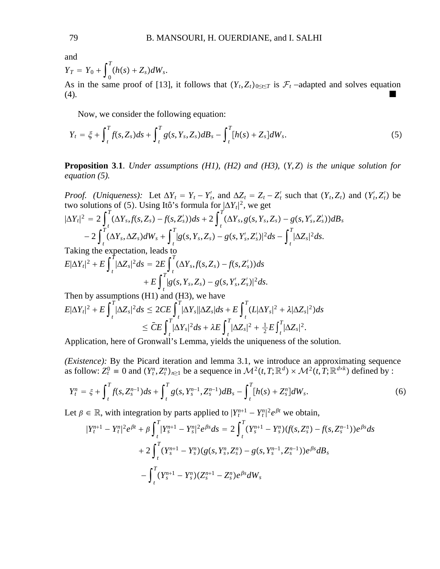and

$$
Y_T = Y_0 + \int_0^T (h(s) + Z_s) dW_s.
$$

As in the same proof of [13], it follows that  $(Y_t, Z_t)_{0 \le t \le T}$  is  $\mathcal{F}_t$  –adapted and solves equation (4). (4).

Now, we consider the following equation:

$$
Y_t = \xi + \int_t^T f(s, Z_s) ds + \int_t^T g(s, Y_s, Z_s) dB_s - \int_t^T [h(s) + Z_s] dW_s.
$$
 (5)

**Proposition 3**.**1**. *Under assumptions (H1), (H2) and (H3), Y*,*Z is the unique solution for equation (5).*

*Proof. (Uniqueness):* Let  $\Delta Y_t = Y_t - Y'_t$ , and  $\Delta Z_t = Z_t - Z'_t$  such that  $(Y_t, Z_t)$  and  $(Y'_t, Z'_t)$  be two solutions of (5). Using Itô's formula for  $|\Delta Y_t|^2$ , we get

$$
|\Delta Y_t|^2 = 2\int_t^T (\Delta Y_s, f(s, Z_s) - f(s, Z_s'))ds + 2\int_t^T (\Delta Y_s, g(s, Y_s, Z_s) - g(s, Y_s', Z_s'))dB_s
$$
  
-2 $\int_t^T (\Delta Y_s, \Delta Z_s)dW_s + \int_t^T |g(s, Y_s, Z_s) - g(s, Y_s', Z_s')|^2ds - \int_t^T |\Delta Z_s|^2ds.$   
Taking the expectation leads to

Taking the expectation, leads to  
\n
$$
E|\Delta Y_t|^2 + E \int_t^T |\Delta Z_s|^2 ds = 2E \int_t^T (\Delta Y_s, f(s, Z_s) - f(s, Z_s')) ds
$$
\n
$$
+ E \int_t^T |g(s, Y_s, Z_s) - g(s, Y_s', Z_s')|^2 ds.
$$

Then by assumptions (H1) and (H3), we have  $E|\Delta Y_t|^2 + E\int_t^T$  $\int_{-1}^{T}|\Delta Z_{s}|^{2}ds\leq2CE\int_{-1}^{T}|\Delta Y_{s}||\Delta Z_{s}|ds+E\int_{-1}^{T}(L|\Delta Y_{s}|^{2}+\lambda|\Delta Z_{s}|^{2})ds$ *t t*  $\leq \bar{C}E\int_{t}^{t}$  $\int_t^T |\Delta Y_s|^2 ds + \lambda E \int_t^T$  $\int_{t}^{T} |\Delta Z_{s}|^{2} + \frac{1}{2} E \int_{t}^{T}$  $\int$ <sup>*T*</sup> $|\Delta Z_{s}|^{2}$ .

Application, here of Gronwall's Lemma, yields the uniqueness of the solution.

*(Existence):* By the Picard iteration and lemma 3.1, we introduce an approximating sequence as follow:  $Z_t^0 \equiv 0$  and  $(Y_t^n, Z_t^n)_{n \ge 1}$  be a sequence in  $\mathcal{M}^2(t, T; \mathbb{R}^d) \times \mathcal{M}^2(t, T; \mathbb{R}^{d \times k})$  defined by :

$$
Y_t^n = \xi + \int_t^T f(s, Z_s^{n-1}) ds + \int_t^T g(s, Y_s^{n-1}, Z_s^{n-1}) dB_s - \int_t^T [h(s) + Z_s^n] dW_s. \tag{6}
$$

Let  $\beta \in \mathbb{R}$ , with integration by parts applied to  $|Y_t^{n+1} - Y_t^n|^2 e^{\beta t}$  we obtain,

$$
|Y_t^{n+1} - Y_t^n|^2 e^{\beta t} + \beta \int_t^T |Y_s^{n+1} - Y_s^n|^2 e^{\beta s} ds = 2 \int_t^T (Y_s^{n+1} - Y_s^n) (f(s, Z_s^n) - f(s, Z_s^{n-1})) e^{\beta s} ds + 2 \int_t^T (Y_s^{n+1} - Y_s^n) (g(s, Y_s^n, Z_s^n) - g(s, Y_s^{n-1}, Z_s^{n-1})) e^{\beta s} dB_s - \int_t^T (Y_s^{n+1} - Y_s^n) (Z_s^{n+1} - Z_s^n) e^{\beta s} dW_s
$$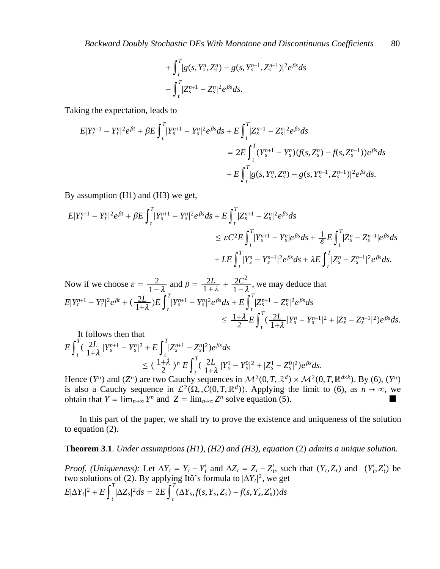*Backward Doubly Stochastic DEs With Monotone and Discontinuous Coefficients* 80

$$
+\int_{t}^{T}[g(s,Y_{s}^{n},Z_{s}^{n})-g(s,Y_{s}^{n-1},Z_{s}^{n-1})|^{2}e^{\beta s}ds\\-\int_{t}^{T}[Z_{s}^{n+1}-Z_{s}^{n}|^{2}e^{\beta s}ds.
$$

Taking the expectation, leads to

$$
E|Y_t^{n+1} - Y_t^n|^2 e^{\beta t} + \beta E \int_t^T |Y_s^{n+1} - Y_s^n|^2 e^{\beta s} ds + E \int_t^T |Z_s^{n+1} - Z_s^n|^2 e^{\beta s} ds
$$
  
=  $2E \int_t^T (Y_s^{n+1} - Y_s^n) (f(s, Z_s^n) - f(s, Z_s^{n-1})) e^{\beta s} ds$   
+  $E \int_t^T |g(s, Y_s^n, Z_s^n) - g(s, Y_s^{n-1}, Z_s^{n-1})|^2 e^{\beta s} ds.$ 

By assumption (H1) and (H3) we get,

$$
E|Y_t^{n+1} - Y_t^n|^2 e^{\beta t} + \beta E \int_t^T |Y_s^{n+1} - Y_s^n|^2 e^{\beta s} ds + E \int_t^T |Z_s^{n+1} - Z_s^n|^2 e^{\beta s} ds
$$
  
\n
$$
\leq \varepsilon C^2 E \int_t^T |Y_s^{n+1} - Y_s^n| e^{\beta s} ds + \frac{1}{\varepsilon} E \int_t^T |Z_s^n - Z_s^{n-1}| e^{\beta s} ds
$$
  
\n
$$
+ L E \int_t^T |Y_s^n - Y_s^{n-1}|^2 e^{\beta s} ds + \lambda E \int_t^T |Z_s^n - Z_s^{n-1}|^2 e^{\beta s} ds.
$$

Now if we choose 
$$
\varepsilon = \frac{2}{1-\lambda}
$$
 and  $\beta = \frac{2L}{1+\lambda} + \frac{2C^2}{1-\lambda}$ , we may deduce that  
\n
$$
E|Y_t^{n+1} - Y_t^n|^2 e^{\beta t} + (\frac{2L}{1+\lambda})E\int_t^T |Y_s^{n+1} - Y_s^n|^2 e^{\beta s} ds + E\int_t^T |Z_s^{n+1} - Z_s^n|^2 e^{\beta s} ds
$$
\n
$$
\leq \frac{1+\lambda}{2}E\int_t^T (\frac{2L}{1+\lambda}|Y_s^n - Y_s^{n-1}|^2 + |Z_s^n - Z_s^{n-1}|^2) e^{\beta s} ds.
$$

It follows then that

$$
E\int_{t}^{T} \left(\frac{2L}{1+\lambda}|Y_{s}^{n+1}-Y_{s}^{n}|^{2}+E\int_{t}^{T} |Z_{s}^{n+1}-Z_{s}^{n}|^{2}\right)e^{\beta s}ds
$$
  

$$
\leq \left(\frac{1+\lambda}{2}\right)^{n} E\int_{t}^{T} \left(\frac{2L}{1+\lambda}|Y_{s}^{1}-Y_{s}^{0}|^{2}+|Z_{s}^{1}-Z_{s}^{0}|^{2}\right)e^{\beta s}ds.
$$

Hence  $(Y^n)$  and  $(Z^n)$  are two Cauchy sequences in  $\mathcal{M}^2(0,T,\mathbb{R}^d) \times \mathcal{M}^2(0,T,\mathbb{R}^{d \times k})$ . By (6),  $(Y^n)$ is also a Cauchy sequence in  $\mathcal{L}^2(\Omega, \mathcal{C}(0,T,\mathbb{R}^d))$ . Applying the limit to (6), as  $n \to \infty$ , we obtain that  $Y = \lim_{n \to \infty} Y^n$  and  $Z = \lim_{n \to \infty} Z^n$  solve equation (5).

In this part of the paper, we shall try to prove the existence and uniqueness of the solution to equation (2).

#### **Theorem 3.1.** *Under assumptions (H1), (H2) and (H3), equation (2) admits a unique solution.*

*Proof. (Uniqueness):* Let  $\Delta Y_t = Y_t - Y_t'$  and  $\Delta Z_t = Z_t - Z_t'$ , such that  $(Y_t, Z_t)$  and  $(Y_t', Z_t')$  be two solutions of (2). By applying Itô's formula to  $|\Delta Y_t|^2$ , we get  $E|\Delta Y_t|^2 + E\int_t^T$  $\int_{t}^{T} |\Delta Z_{s}|^{2} ds = 2E \int_{t}^{T}$  $T^{\infty}(\Delta Y_s, f(s, Y_s, Z_s) - f(s, Y_s', Z_s'))ds$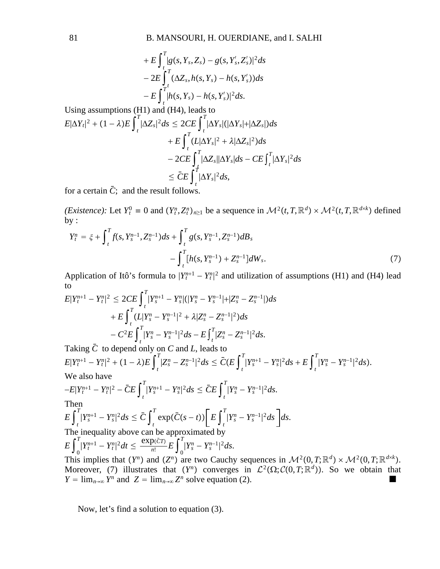$$
+ E\int_t^T [g(s,Y_s,Z_s) - g(s,Y'_s,Z'_s)]^2 ds
$$
  
- 2E 
$$
\int_t^T (\Delta Z_s, h(s,Y_s) - h(s,Y'_s)) ds
$$
  
- E 
$$
\int_t^T [h(s,Y_s) - h(s,Y'_s)]^2 ds.
$$

Using assumptions (H1) and (H4), leads to  
\n
$$
E|\Delta Y_t|^2 + (1 - \lambda)E \int_t^T |\Delta Z_s|^2 ds \leq 2CE \int_t^T |\Delta Y_s| (|\Delta Y_s| + |\Delta Z_s|) ds
$$
\n
$$
+ E \int_t^T (L|\Delta Y_s|^2 + \lambda |\Delta Z_s|^2) ds
$$
\n
$$
- 2CE \int_t^T |\Delta Z_s| |\Delta Y_s| ds - CE \int_t^T |\Delta Y_s|^2 ds
$$
\n
$$
\leq \bar{C}E \int_t^T |\Delta Y_s|^2 ds,
$$

for a certain  $\bar{C}$ ; and the result follows.

*(Existence):* Let  $Y_t^0 = 0$  and  $(Y_t^n, Z_t^n)_{n \ge 1}$  be a sequence in  $\mathcal{M}^2(t, T, \mathbb{R}^d) \times \mathcal{M}^2(t, T, \mathbb{R}^{d \times k})$  defined by :

$$
Y_t^n = \xi + \int_t^T f(s, Y_s^{n-1}, Z_s^{n-1}) ds + \int_t^T g(s, Y_s^{n-1}, Z_s^{n-1}) dB_s - \int_t^T [h(s, Y_s^{n-1}) + Z_s^{n-1}] dW_s.
$$
 (7)

Application of Itô's formula to  $|Y_t^{n+1} - Y_t^{n}|^2$  and utilization of assumptions (H1) and (H4) lead to

$$
E|Y_t^{n+1} - Y_t^n|^2 \le 2CE \int_t^T |Y_s^{n+1} - Y_s^n| (|Y_s^n - Y_s^{n-1}| + |Z_s^n - Z_s^{n-1}|) ds
$$
  
+ 
$$
E\int_t^T (L|Y_s^n - Y_s^{n-1}|^2 + \lambda |Z_s^n - Z_s^{n-1}|^2) ds
$$
  
- 
$$
C^2 E\int_t^T |Y_s^n - Y_s^{n-1}|^2 ds - E\int_t^T |Z_s^n - Z_s^{n-1}|^2 ds.
$$

Taking  $\overline{C}$  to depend only on *C* and *L*, leads to  $E|Y_t^{n+1} - Y_t^n|^2 + (1 - \lambda)E\int_t^1$  $\int_t^T |Z_s^n - Z_s^{n-1}|^2 ds \leq \bar{C}(E\int_t^T)$  $\int_{t}^{T} |Y_{s}^{n+1} - Y_{s}^{n}|^{2} ds + E \int_{t}^{T}$  $T$ <sup>*n*</sup><sub>*s*</sub> –  $Y_s^{n-1}|^2 ds$ . We also have  $-E|Y_t^{n+1} - Y_t^n|^2 - \bar{C}E\int_t^T$  $\int_t^T |Y_s^{n+1} - Y_s^n|^2 ds \leq \bar{C}E \int_t^T$  $\int_{s}^{T} |Y_{s}^{n} - Y_{s}^{n-1}|^{2} ds.$ Then  $E\int_{t}^{t}$  $\int_{t}^{T} |Y_{s}^{n+1} - Y_{s}^{n}|^{2} ds \leq \bar{C} \int_{t}^{T}$  $\sum_{t}^{T} \exp(\bar{C}(s-t)) \left[E \int_{t}^{T}$  $T$ <sup>*I*</sup><sub>*I</sub>*<sup>*n*</sup><sub>*s*</sub> *– Y<sub>s</sub><sup>n-1</sup></del><sup>|2</sup><i>ds ds*.</sub> The inequality above can be approximated by  $E\int_{0}^{T}|Y_{t}^{n+1}-Y_{t}^{n}|^{2}dt \leq \frac{\exp(\bar{c}t)}{n!}E\int_{0}^{T}|Y_{s}^{n}-Y_{s}^{n-1}|^{2}ds.$ This implies that  $(Y^n)$  and  $(Z^n)$  are two Cauchy sequences in  $\mathcal{M}^2(0,T;\mathbb{R}^d) \times \mathcal{M}^2(0,T;\mathbb{R}^{d \times k})$ . Moreover, (7) illustrates that  $(Y^n)$  converges in  $\mathcal{L}^2(\Omega; \mathcal{C}(0,T;\mathbb{R}^d))$ . So we obtain that  $Y = \lim_{n \to \infty} Y^n$  and  $Z = \lim_{n \to \infty} Z^n$  solve equation (2).

Now, let's find a solution to equation (3).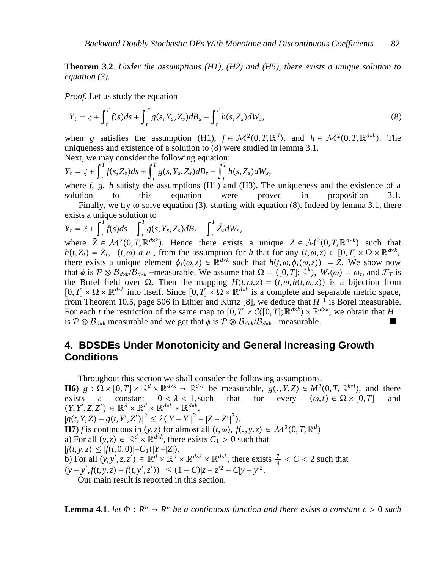**Theorem 3**.**2**. *Under the assumptions (H1), (H2) and (H5), there exists a unique solution to equation (3).*

*Proof.* Let us study the equation

$$
Y_t = \xi + \int_t^T f(s)ds + \int_t^T g(s, Y_s, Z_s)dB_s - \int_t^T h(s, Z_s)dW_s,
$$
\n(8)

when *g* satisfies the assumption (H1),  $f \in M^2(0,T,\mathbb{R}^d)$ , and  $h \in M^2(0,T,\mathbb{R}^{d \times k})$ . The uniqueness and existence of a solution to (8) were studied in lemma 3.1. Next, we may consider the following equation:

$$
Y_t = \xi + \int_t^T f(s, Z_s) ds + \int_t^T g(s, Y_s, Z_s) dB_s - \int_t^T h(s, Z_s) dW_s,
$$

where *f*, *g*, *h* satisfy the assumptions (H1) and (H3). The uniqueness and the existence of a solution to this equation were proved in proposition Finally, we try to solve equation (3), starting with equation (8). Indeed by lemma 3.1, there exists a unique solution to

$$
Y_t = \xi + \int_t^T f(s)ds + \int_t^T g(s, Y_s, Z_s)dB_s - \int_t^T \bar{Z}_s dW_s,
$$

where  $\overline{Z} \in M^2(0,T,\mathbb{R}^{d \times k})$ . Hence there exists a unique  $Z \in M^2(0,T,\mathbb{R}^{d \times k})$  such that  $h(t, Z_t) = \bar{Z}_t$ ,  $(t, \omega)$  *a.e.*, from the assumption for *h* that for any  $(t, \omega, z) \in [0, T] \times \Omega \times \mathbb{R}^{d \times k}$ , there exists a unique element  $\phi_t(\omega, z) \in \mathbb{R}^{d \times k}$  such that  $h(t, \omega, \phi_t(\omega, z)) = Z$ . We show now that  $\phi$  is  $\mathcal{P} \otimes \mathcal{B}_{d \times k}/\mathcal{B}_{d \times k}$  –measurable. We assume that  $\Omega = ([0, T]; \mathbb{R}^k)$ ,  $W_t(\omega) = \omega_t$ , and  $\mathcal{F}_T$  is the Borel field over  $\Omega$ . Then the mapping  $H(t, \omega, z) = (t, \omega, h(t, \omega, z))$  is a bijection from  $[0, T] \times \Omega \times \mathbb{R}^{d \times k}$  into itself. Since  $[0, T] \times \Omega \times \mathbb{R}^{d \times k}$  is a complete and separable metric space, from Theorem 10.5, page 506 in Ethier and Kurtz [8], we deduce that  $H^{-1}$  is Borel measurable. For each *t* the restriction of the same map to  $[0, T] \times C([0, T]; \mathbb{R}^{d \times k}) \times \mathbb{R}^{d \times k}$ , we obtain that  $H^{-1}$ is  $P \otimes B_{d \times k}$  measurable and we get that  $\phi$  is  $P \otimes B_{d \times k}/B_{d \times k}$  –measurable.

# **4**. **BDSDEs Under Monotonicity and General Increasing Growth Conditions**

Throughout this section we shall consider the following assumptions. **H6**)  $g : \Omega \times [0,T] \times \mathbb{R}^d \times \mathbb{R}^{d \times k} \to \mathbb{R}^{d \times l}$  be measurable,  $g(., Y, Z) \in M^2(0,T, \mathbb{R}^{k \times l})$ , and there exists a constant  $0 < \lambda < 1$ , such that for every  $(\omega, t) \in \Omega \times [0, T]$  and  $(Y, Y', Z, Z') \in \mathbb{R}^d \times \mathbb{R}^d \times \mathbb{R}^{d \times k} \times \mathbb{R}^{d \times k}$  $|g(t, Y, Z) - g(t, Y', Z')|^2 \leq \lambda (|Y - Y'|^2 + |Z - Z'|^2).$ | | **H7**) *f* is continuous in  $(y, z)$  for almost all  $(t, \omega)$ ,  $f(. , y.z) \in \mathcal{M}^2(0, T, \mathbb{R}^d)$ a) For all  $(y, z) \in \mathbb{R}^d \times \mathbb{R}^{d \times k}$ , there exists  $C_1 > 0$  such that  $|f(t, y, z)| \le |f(t, 0, 0)| + C_1(|Y| + |Z|).$ b) For all  $(y, y', z, z') \in \mathbb{R}^d \times \mathbb{R}^d \times \mathbb{R}^{d \times k} \times \mathbb{R}^{d \times k}$ , there exists  $\frac{7}{4} < C < 2$  such that  $(y - y', f(t, y, z) - f(t, y', z')) \le (1 - C)|z - z'^2 - C|y - y'^2.$ Our main result is reported in this section.

**Lemma 4.1**. *let*  $\Phi : R^n \to R^n$  *be a continuous function and there exists a constant c* > 0 *such*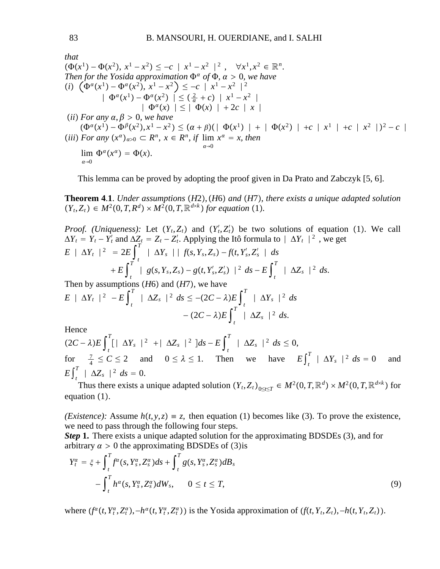that  
\n
$$
(\Phi(x^1) - \Phi(x^2), x^1 - x^2) \le -c \mid x^1 - x^2 \mid^2, \quad \forall x^1, x^2 \in \mathbb{R}^n.
$$
\nThen for the Yosida approximation  $\Phi^{\alpha}$  of  $\Phi$ ,  $\alpha > 0$ , we have  
\n(i)  $(\Phi^{\alpha}(x^1) - \Phi^{\alpha}(x^2), x^1 - x^2) \le -c \mid x^1 - x^2 \mid^2$   
\n $|\Phi^{\alpha}(x^1) - \Phi^{\alpha}(x^2)| \le (\frac{2}{\alpha} + c) \mid x^1 - x^2 \mid$   
\n $|\Phi^{\alpha}(x)| \le |\Phi(x)| + 2c \mid x \mid$   
\n(ii) For any  $\alpha, \beta > 0$ , we have  
\n $(\Phi^{\alpha}(x^1) - \Phi^{\beta}(x^2), x^1 - x^2) \le (\alpha + \beta)(|\Phi(x^1)| + |\Phi(x^2)| + c \mid x^1 \mid + c \mid x^2 \mid)^2 - c \mid$   
\n(iii) For any  $(x^{\alpha})_{\alpha>0} \subset R^n$ ,  $x \in R^n$ , if  $\lim_{\alpha \to 0} x^{\alpha} = x$ , then  
\n $\lim_{\alpha \to 0} \Phi^{\alpha}(x^{\alpha}) = \Phi(x).$ 

This lemma can be proved by adopting the proof given in Da Prato and Zabczyk [5, 6].

**Theorem 4**.**1**. *Under assumptions H*2,*H*6 *and H*7*, there exists a unique adapted solution*  $(Y_t, Z_t) \in M^2(0, T, R^d) \times M^2(0, T, \mathbb{R}^{d \times k})$  for equation (1).

*Proof.* (*Uniqueness*): Let 
$$
(Y_t, Z_t)
$$
 and  $(Y'_t, Z'_t)$  be two solutions of equation (1). We call  $\Delta Y_t = Y_t - Y'_t$  and  $\Delta Z_t = Z_t - Z'_t$ . Applying the Itô formula to  $|\Delta Y_t|^2$ , we get  $E |\Delta Y_t|^2 = 2E \int_t^T |\Delta Y_s| |f(s, Y_s, Z_s) - f(t, Y'_s, Z'_s|) ds$   
+  $E \int_t^T |g(s, Y_s, Z_s) - g(t, Y'_s, Z'_s)|^2 ds - E \int_t^T |\Delta Z_s|^2 ds$ .  
Then by assumptions (*H6*) and (*H7*), we have

 $E \mid \Delta Y_t \mid^2 - E \int_t^t$  $\sum_{t}^{T}$  |  $\Delta Z_s$  |<sup>2</sup> *ds* ≤ −(2*C* −  $\lambda$ ) $E \int_{t}^{2}$ *T* ∣ Δ*Ys* ∣<sup>2</sup> *ds*  $-(2C - \lambda)E$  $T \mid \Delta Z_s \mid^2 ds$ .

Hence

 $(2C - \lambda)E$  $\sum_{t}^{T}$ [|  $\Delta Y_s$  |<sup>2</sup> +|  $\Delta Z_s$  |<sup>2</sup> *ds* − *E*  $\int_{t}^{2}$  $T$  |  $\Delta Z_s$  |<sup>2</sup> *ds* ≤ 0, for  $\frac{7}{4} \le C \le 2$  and  $0 \le \lambda \le 1$ . Then we have  $E \int_{t}^{T} |\Delta Y_s|^2 ds = 0$  and  $E\int_{t}^{T}$  |  $\Delta Z_{s}$  |<sup>2</sup> *ds* = 0.

Thus there exists a unique adapted solution  $(Y_t, Z_t)_{0 \le t \le T} \in M^2(0, T, \mathbb{R}^d) \times M^2(0, T, \mathbb{R}^{d \times k})$  for equation  $(1)$ .

*(Existence):* Assume  $h(t, y, z) = z$ , then equation (1) becomes like (3). To prove the existence, we need to pass through the following four steps.

*Step* **1.** There exists a unique adapted solution for the approximating BDSDEs (3), and for arbitrary  $\alpha > 0$  the approximating BDSDEs of (3) is

$$
Y_t^{\alpha} = \xi + \int_t^T f^{\alpha}(s, Y_s^{\alpha}, Z_s^{\alpha}) ds + \int_t^T g(s, Y_s^{\alpha}, Z_s^{\alpha}) dB_s
$$
  
- 
$$
\int_t^T h^{\alpha}(s, Y_s^{\alpha}, Z_s^{\alpha}) dW_s, \qquad 0 \le t \le T,
$$
 (9)

where  $(f^{\alpha}(t, Y_t^{\alpha}, Z_t^{\alpha}), -h^{\alpha}(t, Y_t^{\alpha}, Z_t^{\alpha}))$  is the Yosida approximation of  $(f(t, Y_t, Z_t), -h(t, Y_t, Z_t))$ .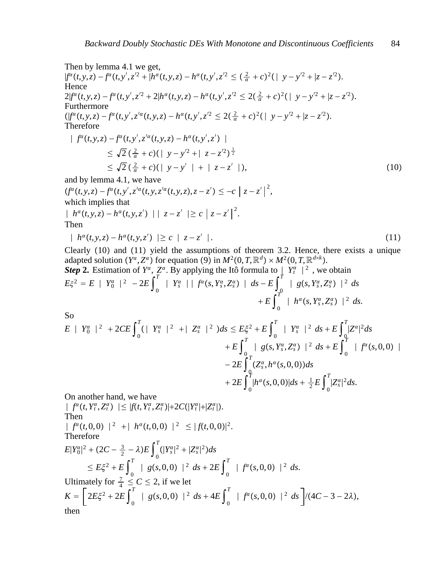Then by lemma 4.1 we get,  $|f^{\alpha}(t,y,z)-f^{\alpha}(t,y',z'^{2}+|h^{\alpha}(t,y,z)-h^{\alpha}(t,y',z'^{2}\leq (\frac{2}{\alpha}+c)^{2}(|y-y'^{2}+|z-z'^{2}).$ Hence  $2|f^{\alpha}(t,y,z)-f^{\alpha}(t,y',z'^2+2|h^{\alpha}(t,y,z)-h^{\alpha}(t,y',z'^2\leq 2(\frac{2}{\alpha}+c)^2(|y-y'^2+|z-z'^2).$ Furthermore  $(|f^{\alpha}(t, y, z) - f^{\alpha}(t, y', z'^{\alpha}(t, y, z) - h^{\alpha}(t, y', z'^2 \leq 2(\frac{2}{\alpha} + c)^2 (|y - y'^2 + |z - z'^2).$ Therefore  $\int f^{a}(t, y, z) - f^{a}(t, y', z'^{a}(t, y, z) - h^{a}(t, y', z'))$  $\leq \sqrt{2} \left( \frac{2}{\alpha} + c \right) \left( \left| y - y'^2 + \right| z - z'^2 \right)^{\frac{1}{2}}$  $\leq \sqrt{2} \left( \frac{2}{\alpha} + c \right) \left( \mid y - y' \mid + \mid z - z' \mid \right),$  (10) and by lemma 4.1, we have  $(f^{\alpha}(t, y, z) - f^{\alpha}(t, y', z'^{\alpha}(t, y, z'^{\alpha}(t, y, z), z - z') \leq -c \mid z - z' \mid^{2},$ which implies that  $|h^{\alpha}(t, y, z) - h^{\alpha}(t, y, z')| | z - z' | \geq c |z - z'|^{2}.$ Then  $| h^{\alpha}(t, y, z) - h^{\alpha}(t, y, z') | ≥ c | z - z' |.$  (11) Clearly  $(10)$  and  $(11)$  yield the assumptions of theorem 3.2. Hence, there exists a unique

adapted solution  $(Y^{\alpha}, Z^{\alpha})$  for equation  $(9)$  in  $M^2(0, T, \mathbb{R}^d) \times M^2(0, T, \mathbb{R}^{d \times k})$ . *Step* 2. Estimation of  $Y^{\alpha}$ ,  $Z^{\alpha}$ . By applying the Itô formula to  $|Y^{\alpha}$ <sub>t</sub>  $|^2$ , we obtain  $E\xi^2 = E \mid Y_0^a \mid^2 -2E \int_0^1$  $\int_{0}^{T}$  | *Y*<sub>s</sub><sup>*x*</sup></sup> | | *f<sup>a</sup>*(*s*, *Y*<sub>s</sub><sup>*x*</sup>, *Z*<sub>s</sub><sup>*s*</sup>) | *ds* − *E*  $\int_{0}^{T}$ *T* **|** *g*(*s*, *Y*<sub>s</sub><sup>α</sup>, *Z*<sub>s</sub><sup>a</sup>) |<sup>2</sup> *ds*  $+E\int_0^T$ *T*<sup>*Y*</sup></sup>  $| h^{\alpha}(s, Y_s^{\alpha}, Z_s^{\alpha}) |^2 ds.$ 

So  
\n
$$
E | Y_{0}^{\alpha} |^{2} + 2CE \int_{0}^{T} (|Y_{s}^{\alpha}|^{2} + |Z_{s}^{\alpha}|^{2}) ds \leq E\xi^{2} + E \int_{0}^{T} |Y_{s}^{\alpha}|^{2} ds + E \int_{0}^{T} |Z^{\alpha}|^{2} ds
$$
\n
$$
+ E \int_{0}^{T} |g(s, Y_{s}^{\alpha}, Z_{s}^{\alpha})|^{2} ds + E \int_{0}^{T} |f^{\alpha}(s, 0, 0)| + C \int_{0}^{T} |Z_{s}^{\alpha}|^{2} ds + 2E \int_{0}^{T} |h^{\alpha}(s, 0, 0)| ds + \frac{1}{2} E \int_{0}^{T} |Z_{s}^{\alpha}|^{2} ds.
$$

On another hand, we have

$$
| f^{a}(t, Y_{t}^{a}, Z_{t}^{a}) | \leq |f(t, Y_{t}^{a}, Z_{t}^{a})| + 2C(|Y_{t}^{a}| + |Z_{t}^{a}|).
$$
  
\nThen  
\n
$$
| f^{a}(t, 0, 0) |^{2} + | h^{a}(t, 0, 0) |^{2} \leq |f(t, 0, 0)|^{2}.
$$
  
\nTherefore  
\n
$$
E|Y_{0}^{a}|^{2} + (2C - \frac{3}{2} - \lambda)E \int_{0}^{T} (|Y_{s}^{a}|^{2} + |Z_{s}^{a}|^{2}) ds
$$
  
\n
$$
\leq E\xi^{2} + E \int_{0}^{T} | g(s, 0, 0) |^{2} ds + 2E \int_{0}^{T} | f^{a}(s, 0, 0) |^{2} ds.
$$
  
\nultimately for  $\frac{7}{4} \leq C \leq 2$ , if we let  
\n
$$
K = \left[ 2E\xi^{2} + 2E \int_{0}^{T} | g(s, 0, 0) |^{2} ds + 4E \int_{0}^{T} | f^{a}(s, 0, 0) |^{2} ds \right] / (4C - 3 - 2\lambda),
$$
  
\nthen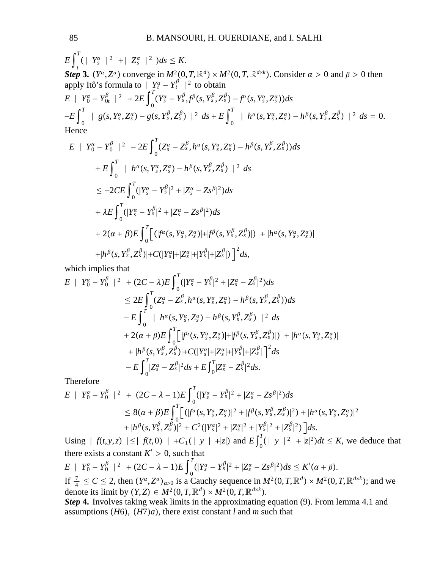$$
E\int_{t}^{T} (|Y_{s}^{\alpha}|^{2} + |Z_{s}^{\alpha}|^{2}) ds \leq K.
$$
  
\nStep 3.  $(Y^{\alpha}, Z^{\alpha})$  converge in  $M^{2}(0, T, \mathbb{R}^{d}) \times M^{2}(0, T, \mathbb{R}^{d \times k})$ . Consider  $\alpha > 0$  and  $\beta > 0$  then  
\napply Itô's formula to  $|Y_{t}^{\alpha} - Y_{t}^{\beta}|^{2}$  to obtain  
\n $E |Y_{0}^{\alpha} - Y_{0t}^{\beta}|^{2} + 2E \int_{0}^{T} (Y_{s}^{\alpha} - Y_{s}^{\beta}, f^{\beta}(s, Y_{s}^{\beta}, Z_{s}^{\beta}) - f^{\alpha}(s, Y_{s}^{\alpha}, Z_{s}^{\alpha})) ds$   
\n $-E \int_{0}^{T} |g(s, Y_{s}^{\alpha}, Z_{s}^{\alpha}) - g(s, Y_{s}^{\beta}, Z_{s}^{\beta})|^{2} ds + E \int_{0}^{T} |h^{\alpha}(s, Y_{s}^{\alpha}, Z_{s}^{\alpha}) - h^{\beta}(s, Y_{s}^{\beta}, Z_{s}^{\beta})|^{2} ds = 0.$   
\nHence  
\n $\int_{0}^{T} |g(s, Y_{s}^{\alpha}, Z_{s}^{\alpha}) - g(s, Y_{s}^{\beta}, Z_{s}^{\beta})|^{2} ds$ 

$$
E | Y_0^{\alpha} - Y_0^{\beta} |^2 - 2E \int_0^1 (Z_s^{\alpha} - Z_s^{\beta}, h^{\alpha}(s, Y_s^{\alpha}, Z_s^{\alpha}) - h^{\beta}(s, Y_s^{\beta}, Z_s^{\beta})) ds
$$
  
+ 
$$
E \int_0^T | h^{\alpha}(s, Y_s^{\alpha}, Z_s^{\alpha}) - h^{\beta}(s, Y_s^{\beta}, Z_s^{\beta}) |^2 ds
$$
  

$$
\leq -2CE \int_0^T (|Y_s^{\alpha} - Y_s^{\beta}|^2 + |Z_s^{\alpha} - Z_s^{\beta}|^2) ds
$$
  
+ 
$$
\lambda E \int_0^T (|Y_s^{\alpha} - Y_s^{\beta}|^2 + |Z_s^{\alpha} - Z_s^{\beta}|^2) ds
$$
  
+ 
$$
2(\alpha + \beta) E \int_0^T [ (|f^{\alpha}(s, Y_s^{\alpha}, Z_s^{\alpha})| + |f^{\beta}(s, Y_s^{\beta}, Z_s^{\beta})|) + |h^{\alpha}(s, Y_s^{\alpha}, Z_s^{\alpha})|
$$
  
+ 
$$
|h^{\beta}(s, Y_s^{\beta}, Z_s^{\beta})| + C(|Y_s^{\alpha}| + |Z_s^{\alpha}| + |Y_s^{\beta}| + |Z_s^{\beta}|) ]^2 ds,
$$

which implies that

$$
E | Y_0^{\alpha} - Y_0^{\beta} |^2 + (2C - \lambda)E \int_0^T (|Y_s^{\alpha} - Y_s^{\beta}|^2 + |Z_s^{\alpha} - Z_s^{\beta}|^2) ds
$$
  
\n
$$
\leq 2E \int_0^T (Z_s^{\alpha} - Z_s^{\beta}, h^{\alpha}(s, Y_s^{\alpha}, Z_s^{\alpha}) - h^{\beta}(s, Y_s^{\beta}, Z_s^{\beta})) ds
$$
  
\n
$$
- E \int_0^T | h^{\alpha}(s, Y_s^{\alpha}, Z_s^{\alpha}) - h^{\beta}(s, Y_s^{\beta}, Z_s^{\beta}) |^2 ds
$$
  
\n
$$
+ 2(\alpha + \beta)E \int_0^T [f^{\alpha}(s, Y_s^{\alpha}, Z_s^{\alpha})] + |f^{\beta}(s, Y_s^{\beta}, Z_s^{\beta})| + |h^{\alpha}(s, Y_s^{\alpha}, Z_s^{\alpha})|
$$
  
\n
$$
+ |h^{\beta}(s, Y_s^{\beta}, Z_s^{\beta})| + C(|Y_s^{\alpha}| + |Z_s^{\alpha}| + |Y_s^{\beta}| + |Z_s^{\beta}|^2) ds
$$
  
\n
$$
- E \int_0^T |Z_s^{\alpha} - Z_s^{\beta}|^2 ds + E \int_0^T |Z_s^{\alpha} - Z_s^{\beta}|^2 ds.
$$

Therefore

$$
E | Y_0^{\alpha} - Y_0^{\beta} |^2 + (2C - \lambda - 1)E \int_0^T (|Y_s^{\alpha} - Y_s^{\beta}|^2 + |Z_s^{\alpha} - Z_s^{\beta}|^2) ds
$$
  
\n
$$
\leq 8(\alpha + \beta)E \int_0^T [ (|f^{\alpha}(s, Y_s^{\alpha}, Z_s^{\alpha})|^2 + |f^{\beta}(s, Y_s^{\beta}, Z_s^{\beta})|^2) + |h^{\alpha}(s, Y_s^{\alpha}, Z_s^{\alpha})|^2
$$
  
\n
$$
+ |h^{\beta}(s, Y_s^{\beta}, Z_s^{\beta})|^2 + C^2 (|Y_s^{\alpha}|^2 + |Z_s^{\alpha}|^2 + |Y_s^{\beta}|^2 + |Z_s^{\beta}|^2) \Big] ds.
$$

Using  $| f(t, y, z) | \le | f(t, 0) | +C_1(|y| +|z|)$  and  $E\int_0^t$  $\int_{0}^{T} (|y|^2 + |z|^2) dt \leq K$ , we deduce that there exists a constant  $K' > 0$ , such that

 $E \mid Y_0^{\alpha} - Y_0^{\beta} \mid^2 + (2C - \lambda - 1)E \int_{0}^{T} (|Y_s^{\alpha} - Y_s^{\beta}|^2 + |Z_s^{\alpha} - Z_s^{\beta}|^2) ds \leq K'(\alpha + \beta).$ If  $\frac{7}{4} \le C \le 2$ , then  $(Y^{\alpha}, Z^{\alpha})_{\alpha>0}$  is a Cauchy sequence in  $M^2(0, T, \mathbb{R}^d) \times M^2(0, T, \mathbb{R}^{d \times k})$ ; and we | denote its limit by  $(Y, Z) \in M^2(0, T, \mathbb{R}^d) \times M^2(0, T, \mathbb{R}^{d \times k})$ .

*Step* **4.** Involves taking weak limits in the approximating equation (9). From lemma 4.1 and assumptions  $(H6)$ ,  $(H7)a$ , there exist constant *l* and *m* such that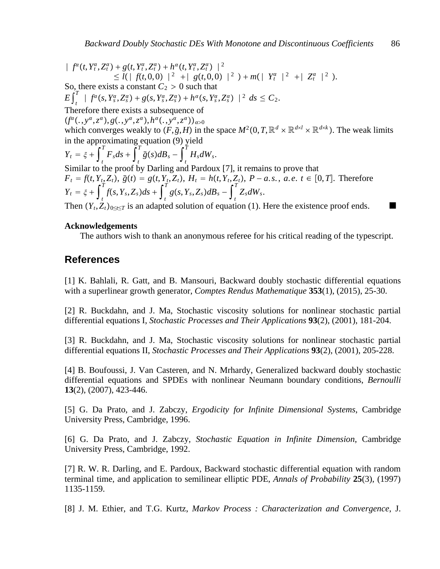$$
\begin{aligned}\n| \int_{-\infty}^{\infty} (t, Y_t^{\alpha}, Z_t^{\alpha}) + g(t, Y_t^{\alpha}, Z_t^{\alpha}) + h^{\alpha}(t, Y_t^{\alpha}, Z_t^{\alpha}) \Big|^{2} \\
&\leq l \Big( | \int_{-\infty}^{\infty} f(t, 0, 0) \Big|^{2} + | \int_{-\infty}^{\infty} g(t, 0, 0) \Big|^{2} + | \int_{-\infty}^{\infty} f(t, 0, 0) \Big|^{2} + | \int_{-\infty}^{\infty} f(t, 0, 0) \Big|^{2} + | \int_{-\infty}^{\infty} f(t, 0, 0) \Big|^{2} + | \int_{-\infty}^{\infty} f(t, 0, 0) \Big|^{2} + | \int_{-\infty}^{\infty} f(t, 0, 0) \Big|^{2} + | \int_{-\infty}^{\infty} f(t, 0, 0) \Big|^{2} + | \int_{-\infty}^{\infty} f(t, 0, 0) \Big|^{2} + | \int_{-\infty}^{\infty} f(t, 0, 0) \Big|^{2} + | \int_{-\infty}^{\infty} f(t, 0, 0) \Big|^{2} + | \int_{-\infty}^{\infty} f(t, 0, 0) \Big|^{2} + | \int_{-\infty}^{\infty} f(t, 0, 0) \Big|^{2} + | \int_{-\infty}^{\infty} f(t, 0, 0) \Big|^{2} + | \int_{-\infty}^{\infty} f(t, 0, 0) \Big|^{2} + | \int_{-\infty}^{\infty} f(t, 0, 0) \Big|^{2} + | \int_{-\infty}^{\infty} f(t, 0, 0) \Big|^{2} + | \int_{-\infty}^{\infty} f(t, 0, 0) \Big|^{2} + | \int_{-\infty}^{\infty} f(t, 0, 0) \Big|^{2} \Big|^{2} + | \int_{-\infty}^{\infty} f(t, 0, 0) \Big|^{2} + | \int_{-\infty}^{\infty} f(t, 0, 0) \Big|^{2} + | \int_{-\infty}^{\infty} f(t, 0, 0) \Big|^{2} + | \int_{-\infty}^{\infty} f(t, 0, 0) \Big|^{2} + | \
$$

Then  $(Y_t, Z_t)_{0 \le t \le T}$  is an adapted solution of equation (1). Here the existence proof ends.

#### **Acknowledgements**

The authors wish to thank an anonymous referee for his critical reading of the typescript.

# **References**

[1] K. Bahlali, R. Gatt, and B. Mansouri, Backward doubly stochastic differential equations with a superlinear growth generator, *Comptes Rendus Mathematique* **353**(1), (2015), 25-30.

[2] R. Buckdahn, and J. Ma, Stochastic viscosity solutions for nonlinear stochastic partial differential equations I, *Stochastic Processes and Their Applications* **93**(2), (2001), 181-204.

[3] R. Buckdahn, and J. Ma, Stochastic viscosity solutions for nonlinear stochastic partial differential equations II, *Stochastic Processes and Their Applications* **93**(2), (2001), 205-228.

[4] B. Boufoussi, J. Van Casteren, and N. Mrhardy, Generalized backward doubly stochastic differential equations and SPDEs with nonlinear Neumann boundary conditions, *Bernoulli* **13**(2), (2007), 423-446.

[5] G. Da Prato, and J. Zabczy, *Ergodicity for Infinite Dimensional Systems*, Cambridge University Press, Cambridge, 1996.

[6] G. Da Prato, and J. Zabczy, *Stochastic Equation in Infinite Dimension*, Cambridge University Press, Cambridge, 1992.

[7] R. W. R. Darling, and E. Pardoux, Backward stochastic differential equation with random terminal time, and application to semilinear elliptic PDE, *Annals of Probability* **25**(3), (1997) 1135-1159.

[8] J. M. Ethier, and T.G. Kurtz, *Markov Process : Characterization and Convergence*, J.